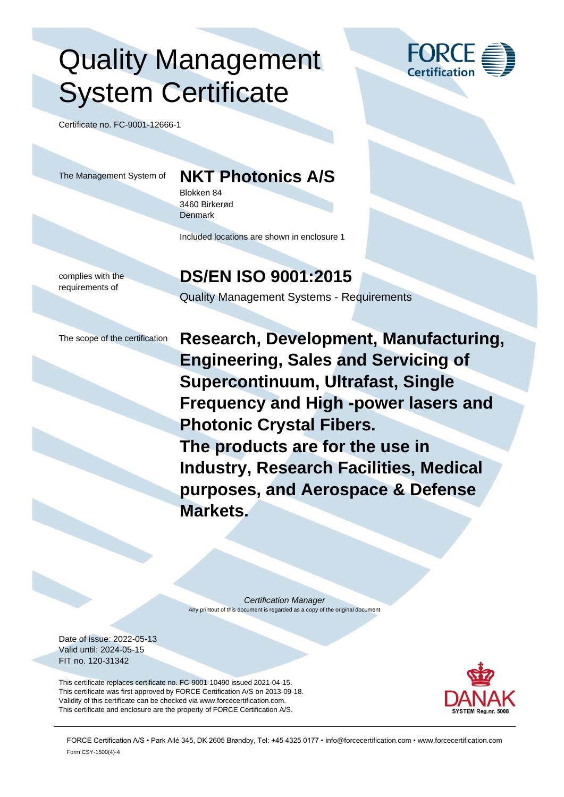## Quality Management System Certificate

Certificate no. FC-9001-12666-1

## The Management System of **NKT Photonics A/S**

Blokken 84 3460 Birkerød **Denmark** 

Included locations are shown in enclosure 1

complies with the requirements of

### **DS/EN ISO 9001:2015**

Quality Management Systems - Requirements

The scope of the certification **Research, Development, Manufacturing, Engineering, Sales and Servicing of Supercontinuum, Ultrafast, Single Frequency and High -power lasers and Photonic Crystal Fibers. The products are for the use in Industry, Research Facilities, Medical purposes, and Aerospace & Defense Markets.**

> *Certification Manager* Any printout of this document is regarded as a copy of the original document

Date of issue: 2022-05-13 Valid until: 2024-05-15 FIT no. 120-31342

This certificate replaces certificate no. FC-9001-10490 issued 2021-04-15. This certificate was first approved by FORCE Certification A/S on 2013-09-18. Validity of this certificate can be checked via www.forcecertification.com. This certificate and enclosure are the property of FORCE Certification A/S.



FORCE Certification A/S • Park Allé 345, DK 2605 Brøndby, Tel: +45 4325 0177 • info@forcecertification.com • www.forcecertification.com Form CSY-1500(4)-4